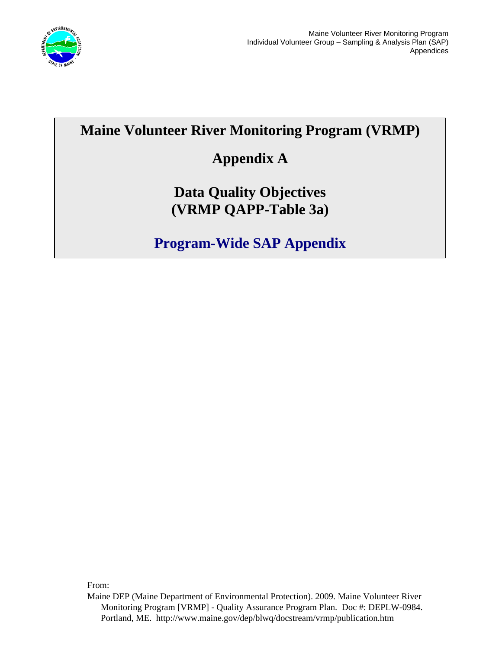

# **Maine Volunteer River Monitoring Program (VRMP)**

# **Appendix A**

# **Data Quality Objectives (VRMP QAPP-Table 3a)**

**Program-Wide SAP Appendix** 

From:

Maine DEP (Maine Department of Environmental Protection). 2009. Maine Volunteer River Monitoring Program [VRMP] - Quality Assurance Program Plan. Doc #: DEPLW-0984. Portland, ME. http://www.maine.gov/dep/blwq/docstream/vrmp/publication.htm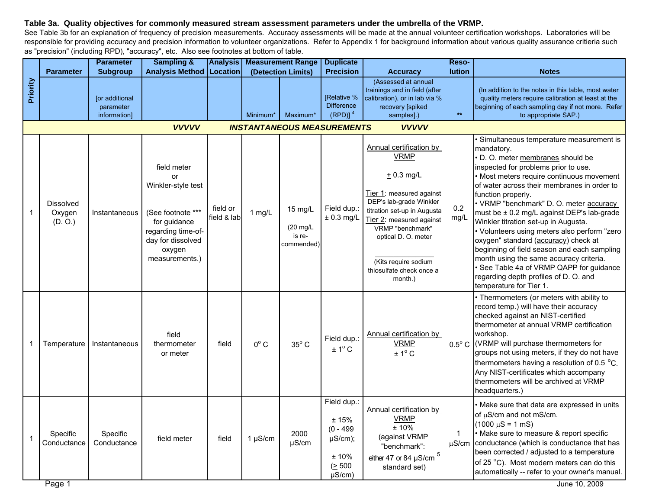#### **Table 3a. Quality objectives for commonly measured stream assessment parameters under the umbrella of the VRMP.**

See Table 3b for an explanation of frequency of precision measurements. Accuracy assessments will be made at the annual volunteer certification workshops. Laboratories will be responsible for providing accuracy and precision information to volunteer organizations. Refer to Appendix 1 for background information about various quality assurance critieria such as "precision" (including RPD), "accuracy", etc. Also see footnotes at bottom of table.

|                                                                   |                                       | <b>Parameter</b>                                   | <b>Sampling &amp;</b>                                                                                                                               |                         |                    | <b>Analysis   Measurement Range</b>                    | <b>Duplicate</b>                                                                           |                                                                                                                                                                                                                                                                                   | Reso-                      |                                                                                                                                                                                                                                                                                                                                                                                                                                                                                                                                                                                                                                                                                           |
|-------------------------------------------------------------------|---------------------------------------|----------------------------------------------------|-----------------------------------------------------------------------------------------------------------------------------------------------------|-------------------------|--------------------|--------------------------------------------------------|--------------------------------------------------------------------------------------------|-----------------------------------------------------------------------------------------------------------------------------------------------------------------------------------------------------------------------------------------------------------------------------------|----------------------------|-------------------------------------------------------------------------------------------------------------------------------------------------------------------------------------------------------------------------------------------------------------------------------------------------------------------------------------------------------------------------------------------------------------------------------------------------------------------------------------------------------------------------------------------------------------------------------------------------------------------------------------------------------------------------------------------|
|                                                                   | <b>Parameter</b>                      | <b>Subgroup</b>                                    | <b>Analysis Method   Location</b>                                                                                                                   |                         | (Detection Limits) |                                                        | <b>Precision</b>                                                                           | <b>Accuracy</b>                                                                                                                                                                                                                                                                   | <b>lution</b>              | <b>Notes</b>                                                                                                                                                                                                                                                                                                                                                                                                                                                                                                                                                                                                                                                                              |
| Priority                                                          |                                       | <b>for additional</b><br>parameter<br>information] |                                                                                                                                                     |                         | Minimum*           | Maximum*                                               | [Relative %<br><b>Difference</b><br>(RPD) <sup>4</sup>                                     | (Assessed at annual<br>trainings and in field (after<br>calibration), or in lab via %<br>recovery [spiked<br>samples].)                                                                                                                                                           | $\star\star$               | (In addition to the notes in this table, most water<br>quality meters require calibration at least at the<br>beginning of each sampling day if not more. Refer<br>to appropriate SAP.)                                                                                                                                                                                                                                                                                                                                                                                                                                                                                                    |
| <b>VVVVV</b><br><b>INSTANTANEOUS MEASUREMENTS</b><br><b>VVVVV</b> |                                       |                                                    |                                                                                                                                                     |                         |                    |                                                        |                                                                                            |                                                                                                                                                                                                                                                                                   |                            |                                                                                                                                                                                                                                                                                                                                                                                                                                                                                                                                                                                                                                                                                           |
| $\mathbf{1}$                                                      | <b>Dissolved</b><br>Oxygen<br>(D. O.) | Instantaneous                                      | field meter<br>or<br>Winkler-style test<br>(See footnote ***<br>for guidance<br>regarding time-of-<br>day for dissolved<br>oxygen<br>measurements.) | field or<br>field & lab | $1$ mg/L           | 15 mg/L<br>$(20 \text{ mg/L})$<br>is re-<br>commended) | Field dup.:<br>$± 0.3$ mg/L                                                                | Annual certification by<br><b>VRMP</b><br>$+0.3$ mg/L<br>Tier 1: measured against<br>DEP's lab-grade Winkler<br>titration set-up in Augusta<br>Tier 2: measured against<br>VRMP "benchmark"<br>optical D. O. meter<br>(Kits require sodium<br>thiosulfate check once a<br>month.) | 0.2<br>mg/L                | · Simultaneous temperature measurement is<br>mandatory.<br>· D. O. meter membranes should be<br>inspected for problems prior to use.<br>• Most meters require continuous movement<br>of water across their membranes in order to<br>function properly.<br>• VRMP "benchmark" D. O. meter accuracy<br>must be ± 0.2 mg/L against DEP's lab-grade<br>Winkler titration set-up in Augusta.<br>• Volunteers using meters also perform "zero<br>oxygen" standard (accuracy) check at<br>beginning of field season and each sampling<br>month using the same accuracy criteria.<br>· See Table 4a of VRMP QAPP for guidance<br>regarding depth profiles of D. O. and<br>temperature for Tier 1. |
| 1                                                                 | Temperature                           | Instantaneous                                      | field<br>thermometer<br>or meter                                                                                                                    | field                   | $0^{\circ}$ C      | $35^{\circ}$ C                                         | Field dup.:<br>$± 1°$ C                                                                    | Annual certification by<br><b>VRMP</b><br>$± 1^{\circ}$ C                                                                                                                                                                                                                         | $0.5^{\circ}$ C            | · Thermometers (or meters with ability to<br>record temp.) will have their accuracy<br>checked against an NIST-certified<br>thermometer at annual VRMP certification<br>workshop.<br>(VRMP will purchase thermometers for<br>groups not using meters, if they do not have<br>thermometers having a resolution of 0.5 °C.<br>Any NIST-certificates which accompany<br>thermometers will be archived at VRMP<br>headquarters.)                                                                                                                                                                                                                                                              |
| 1                                                                 | Specific<br>Conductance               | Specific<br>Conductance                            | field meter                                                                                                                                         | field                   | $1 \mu S/cm$       | 2000<br>$\mu$ S/cm                                     | Field dup.:<br>±15%<br>$(0 - 499)$<br>$\mu$ S/cm $);$<br>$\pm$ 10%<br>(2500<br>$\mu$ S/cm) | <b>Annual certification by</b><br><b>VRMP</b><br>±10%<br>(against VRMP<br>"benchmark":<br>either 47 or 84 $\mu$ S/cm $^5$<br>standard set)                                                                                                                                        | $\mathbf{1}$<br>$\mu$ S/cm | • Make sure that data are expressed in units<br>of µS/cm and not mS/cm.<br>$(1000 \mu S = 1 mS)$<br>• Make sure to measure & report specific<br>conductance (which is conductance that has<br>been corrected / adjusted to a temperature<br>of 25 °C). Most modern meters can do this<br>automatically -- refer to your owner's manual.                                                                                                                                                                                                                                                                                                                                                   |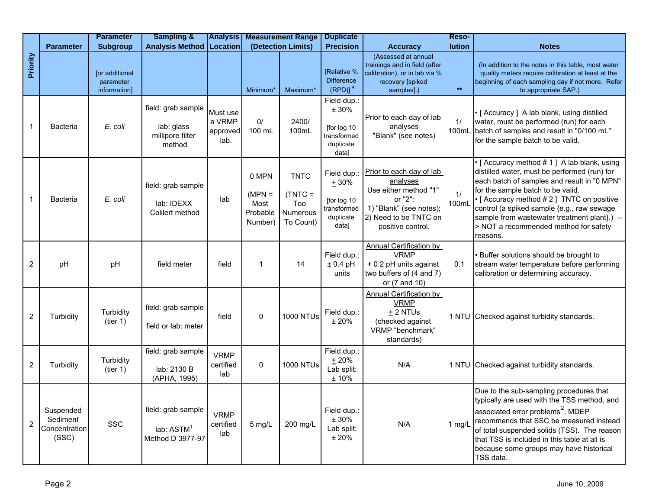|                | <b>Parameter</b>                                | <b>Parameter</b><br><b>Subgroup</b>         | <b>Sampling &amp;</b><br><b>Analysis Method   Location</b>       |                                        |                                                  | <b>Analysis   Measurement Range</b><br>(Detection Limits)       | <b>Duplicate</b><br><b>Precision</b>                                        | <b>Accuracy</b>                                                                                                                                   | Reso-<br>lution | <b>Notes</b>                                                                                                                                                                                                                                                                                                                                                                 |
|----------------|-------------------------------------------------|---------------------------------------------|------------------------------------------------------------------|----------------------------------------|--------------------------------------------------|-----------------------------------------------------------------|-----------------------------------------------------------------------------|---------------------------------------------------------------------------------------------------------------------------------------------------|-----------------|------------------------------------------------------------------------------------------------------------------------------------------------------------------------------------------------------------------------------------------------------------------------------------------------------------------------------------------------------------------------------|
| Priority       |                                                 | [or additional<br>parameter<br>information] |                                                                  |                                        | Minimum*                                         | Maximum*                                                        | [Relative %<br><b>Difference</b><br>$(RPD)$ <sup>4</sup>                    | (Assessed at annual<br>trainings and in field (after<br>calibration), or in lab via %<br>recovery [spiked<br>samples].)                           | $\star\star$    | (In addition to the notes in this table, most water<br>quality meters require calibration at least at the<br>beginning of each sampling day if not more. Refer<br>to appropriate SAP.)                                                                                                                                                                                       |
| -1             | <b>Bacteria</b>                                 | E. coli                                     | field: grab sample<br>lab: glass<br>millipore filter<br>method   | Must use<br>a VRMP<br>approved<br>lab. | $0/$<br>100 mL                                   | 2400/<br>100mL                                                  | Field dup.:<br>$± 30\%$<br>[for log 10<br>transformed<br>duplicate<br>data] | Prior to each day of lab<br>analyses<br>"Blank" (see notes)                                                                                       | 1/<br>100mL     | • [ Accuracy ] A lab blank, using distilled<br>water, must be performed (run) for each<br>batch of samples and result in "0/100 mL"<br>for the sample batch to be valid.                                                                                                                                                                                                     |
| $\mathbf{1}$   | <b>Bacteria</b>                                 | E. coli                                     | field: grab sample<br>lab: IDEXX<br>Colilert method              | lab                                    | 0 MPN<br>$(MPN =$<br>Most<br>Probable<br>Number) | <b>TNTC</b><br>$(TNTC =$<br>Too<br><b>Numerous</b><br>To Count) | Field dup.:<br>$+30%$<br>[for log 10<br>transformed<br>duplicate<br>data]   | Prior to each day of lab<br>analyses<br>Use either method "1"<br>or "2":<br>1) "Blank" (see notes);<br>2) Need to be TNTC on<br>positive control. | 1/<br>100ml     | [Accuracy method #1] A lab blank, using<br>distilled water, must be performed (run) for<br>each batch of samples and result in "0 MPN"<br>for the sample batch to be valid.<br>• [ Accuracy method # 2 ] TNTC on positive<br>control (a spiked sample {e.g., raw sewage<br>sample from wastewater treatment plant}.) --<br>> NOT a recommended method for safety<br>reasons. |
| 2              | рH                                              | pH                                          | field meter                                                      | field                                  | 1                                                | 14                                                              | Field dup.:<br>$± 0.4$ pH<br>units                                          | <b>Annual Certification by</b><br><b>VRMP</b><br>$\pm$ 0.2 pH units against<br>two buffers of (4 and 7)<br>or (7 and 10)                          | 0.1             | Buffer solutions should be brought to<br>stream water temperature before performing<br>calibration or determining accuracy.                                                                                                                                                                                                                                                  |
| $\overline{2}$ | Turbidity                                       | Turbidity<br>(tier 1)                       | field: grab sample<br>field or lab: meter                        | field                                  | $\pmb{0}$                                        | <b>1000 NTUs</b>                                                | Field dup.:<br>±20%                                                         | Annual Certification by<br><b>VRMP</b><br>$±$ 2 NTUs<br>(checked against<br>VRMP "benchmark"<br>standards)                                        |                 | 1 NTU Checked against turbidity standards.                                                                                                                                                                                                                                                                                                                                   |
| 2              | Turbidity                                       | Turbidity<br>(tier 1)                       | field: grab sample<br>lab: 2130 B<br>(APHA, 1995)                | <b>VRMP</b><br>certified<br>lab        | 0                                                | <b>1000 NTUs</b>                                                | Field dup.:<br>$+20%$<br>Lab split:<br>±10%                                 | N/A                                                                                                                                               |                 | 1 NTU Checked against turbidity standards.                                                                                                                                                                                                                                                                                                                                   |
| $\overline{2}$ | Suspended<br>Sediment<br>Concentration<br>(SSC) | SSC                                         | field: grab sample<br>lab: ASTM <sup>1</sup><br>Method D 3977-97 | <b>VRMP</b><br>certified<br>lab        | 5 mg/L                                           | 200 mg/L                                                        | Field dup.:<br>± 30%<br>Lab split:<br>±20%                                  | N/A                                                                                                                                               | $1$ mg/L        | Due to the sub-sampling procedures that<br>typically are used with the TSS method, and<br>associated error problems <sup>2</sup> , MDEP<br>recommends that SSC be measured instead<br>of total suspended solids (TSS). The reason<br>that TSS is included in this table at all is<br>because some groups may have historical<br>TSS data.                                    |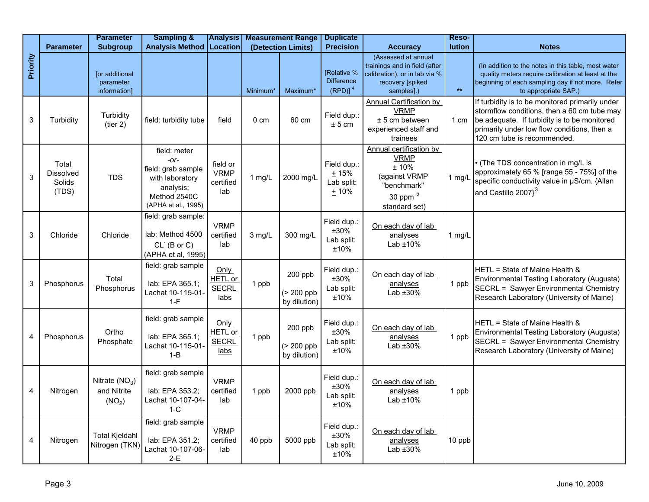|          |                                              | <b>Parameter</b>                                     | <b>Sampling &amp;</b>                                                                                               |                                             |                      | <b>Analysis   Measurement Range</b>   | <b>Duplicate</b>                                         |                                                                                                                         | Reso-        |                                                                                                                                                                                                                              |
|----------|----------------------------------------------|------------------------------------------------------|---------------------------------------------------------------------------------------------------------------------|---------------------------------------------|----------------------|---------------------------------------|----------------------------------------------------------|-------------------------------------------------------------------------------------------------------------------------|--------------|------------------------------------------------------------------------------------------------------------------------------------------------------------------------------------------------------------------------------|
|          | <b>Parameter</b>                             | <b>Subgroup</b>                                      | Analysis Method   Location                                                                                          |                                             |                      | (Detection Limits)                    | <b>Precision</b>                                         | <b>Accuracy</b>                                                                                                         | lution       | <b>Notes</b>                                                                                                                                                                                                                 |
| Priority |                                              | [or additional<br>parameter<br>information]          |                                                                                                                     |                                             | Minimum <sup>*</sup> | Maximum <sup>*</sup>                  | [Relative %<br><b>Difference</b><br>$(RPD)$ <sup>4</sup> | (Assessed at annual<br>trainings and in field (after<br>calibration), or in lab via %<br>recovery [spiked<br>samples].) | $\star\star$ | (In addition to the notes in this table, most water<br>quality meters require calibration at least at the<br>beginning of each sampling day if not more. Refer<br>to appropriate SAP.)                                       |
| 3        | Turbidity                                    | Turbidity<br>$($ tier 2 $)$                          | field: turbidity tube                                                                                               | field                                       | $0 \text{ cm}$       | 60 cm                                 | Field dup.:<br>$± 5$ cm                                  | <b>Annual Certification by</b><br><b>VRMP</b><br>$± 5$ cm between<br>experienced staff and<br>trainees                  | 1 cm         | If turbidity is to be monitored primarily under<br>stormflow conditions, then a 60 cm tube may<br>be adequate. If turbidity is to be monitored<br>primarily under low flow conditions, then a<br>120 cm tube is recommended. |
| 3        | Total<br><b>Dissolved</b><br>Solids<br>(TDS) | <b>TDS</b>                                           | field: meter<br>$-Or-$<br>field: grab sample<br>with laboratory<br>analysis;<br>Method 2540C<br>(APHA et al., 1995) | field or<br><b>VRMP</b><br>certified<br>lab | 1 mg/L               | 2000 mg/L                             | Field dup.:<br>± 15%<br>Lab split:<br>$+10%$             | Annual certification by<br><b>VRMP</b><br>±10%<br>(against VRMP<br>"benchmark"<br>30 ppm 5<br>standard set)             | $1$ mg/L     | • (The TDS concentration in mg/L is<br>approximately 65 % [range 55 - 75%] of the<br>specific conductivity value in µS/cm. {Allan<br>and Castillo 2007} <sup>3</sup>                                                         |
| 3        | Chloride                                     | Chloride                                             | field: grab sample:<br>lab: Method 4500<br>$CL^-(B \text{ or } C)$<br>(APHA et al, 1995)                            | <b>VRMP</b><br>certified<br>lab             | 3 mg/L               | 300 mg/L                              | Field dup.:<br>±30%<br>Lab split:<br>±10%                | On each day of lab<br>analyses<br>Lab $±10\%$                                                                           | $1$ mg/L     |                                                                                                                                                                                                                              |
| 3        | Phosphorus                                   | Total<br>Phosphorus                                  | field: grab sample<br>lab: EPA 365.1;<br>Lachat 10-115-01-<br>$1-F$                                                 | Only<br>HETL or<br><b>SECRL</b><br>labs     | 1 ppb                | 200 ppb<br>(> 200 ppb<br>by dilution) | Field dup.:<br>±30%<br>Lab split:<br>$\pm 10\%$          | On each day of lab<br>analyses<br>Lab $\pm 30\%$                                                                        | 1 ppb        | HETL = State of Maine Health &<br>Environmental Testing Laboratory (Augusta)<br>SECRL = Sawyer Environmental Chemistry<br>Research Laboratory (University of Maine)                                                          |
| 4        | Phosphorus                                   | Ortho<br>Phosphate                                   | field: grab sample<br>lab: EPA 365.1;<br>Lachat 10-115-01-<br>$1 - B$                                               | Only<br>HETL or<br><b>SECRL</b><br>labs     | 1 ppb                | 200 ppb<br>(> 200 ppb<br>by dilution) | Field dup.:<br>±30%<br>Lab split:<br>±10%                | On each day of lab<br>analyses<br>Lab $\pm 30\%$                                                                        | 1 ppb        | HETL = State of Maine Health &<br>Environmental Testing Laboratory (Augusta)<br>SECRL = Sawyer Environmental Chemistry<br>Research Laboratory (University of Maine)                                                          |
| 4        | Nitrogen                                     | Nitrate $(NO3)$<br>and Nitrite<br>(NO <sub>2</sub> ) | field: grab sample<br>lab: EPA 353.2;<br>Lachat 10-107-04<br>$1-C$                                                  | <b>VRMP</b><br>certified<br>lab             | 1 ppb                | 2000 ppb                              | Field dup.:<br>±30%<br>Lab split:<br>±10%                | On each day of lab<br>analyses<br>Lab $±10%$                                                                            | 1 ppb        |                                                                                                                                                                                                                              |
| 4        | Nitrogen                                     | <b>Total Kjeldahl</b><br>Nitrogen (TKN)              | field: grab sample<br>lab: EPA 351.2;<br>Lachat 10-107-06-<br>$2-E$                                                 | <b>VRMP</b><br>certified<br>lab             | 40 ppb               | 5000 ppb                              | Field dup.:<br>$±30\%$<br>Lab split:<br>$±10\%$          | On each day of lab<br>analyses<br>Lab $\pm 30\%$                                                                        | 10 ppb       |                                                                                                                                                                                                                              |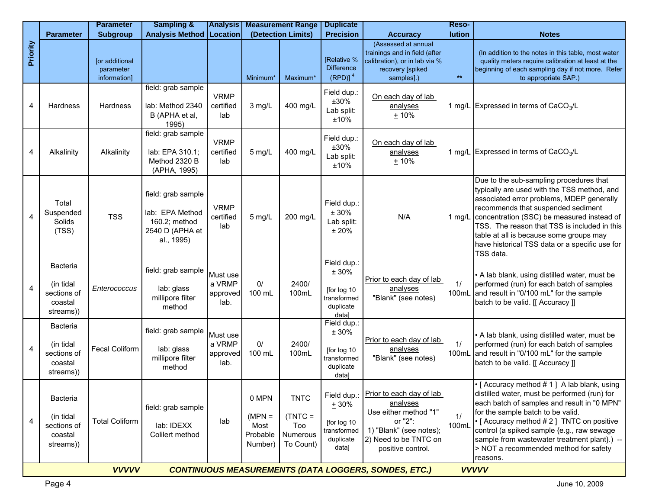|                |                                                                                             | <b>Parameter</b>                            | <b>Sampling &amp;</b>                                                                   |                                        |                                                  | <b>Analysis   Measurement Range</b>                      | <b>Duplicate</b>                                                              |                                                                                                                                                   | Reso-        |                                                                                                                                                                                                                                                                                                                                                                                         |
|----------------|---------------------------------------------------------------------------------------------|---------------------------------------------|-----------------------------------------------------------------------------------------|----------------------------------------|--------------------------------------------------|----------------------------------------------------------|-------------------------------------------------------------------------------|---------------------------------------------------------------------------------------------------------------------------------------------------|--------------|-----------------------------------------------------------------------------------------------------------------------------------------------------------------------------------------------------------------------------------------------------------------------------------------------------------------------------------------------------------------------------------------|
|                | <b>Parameter</b>                                                                            | <b>Subgroup</b>                             | <b>Analysis Method   Location</b>                                                       |                                        |                                                  | (Detection Limits)                                       | <b>Precision</b>                                                              | <b>Accuracy</b>                                                                                                                                   | lution       | <b>Notes</b>                                                                                                                                                                                                                                                                                                                                                                            |
| Priority       |                                                                                             | [or additional<br>parameter<br>information] |                                                                                         |                                        | Minimum*                                         | Maximum*                                                 | [Relative %<br><b>Difference</b><br>$(RPD)$ <sup>4</sup>                      | (Assessed at annual<br>trainings and in field (after<br>calibration), or in lab via %<br>recovery [spiked<br>samples].)                           | $\star\star$ | (In addition to the notes in this table, most water<br>quality meters require calibration at least at the<br>beginning of each sampling day if not more. Refer<br>to appropriate SAP.)                                                                                                                                                                                                  |
| 4              | Hardness                                                                                    | Hardness                                    | field: grab sample<br>lab: Method 2340<br>B (APHA et al,<br>1995)                       | <b>VRMP</b><br>certified<br>lab        | 3 mg/L                                           | 400 mg/L                                                 | Field dup.:<br>±30%<br>Lab split:<br>±10%                                     | On each day of lab<br>analyses<br>± 10%                                                                                                           |              | 1 mg/L Expressed in terms of $CaCO3/L$                                                                                                                                                                                                                                                                                                                                                  |
| 4              | Alkalinity                                                                                  | Alkalinity                                  | field: grab sample<br>lab: EPA 310.1;<br>Method 2320 B<br>(APHA, 1995)                  | <b>VRMP</b><br>certified<br>lab        | 5 mg/L                                           | 400 mg/L                                                 | Field dup.:<br>$±30\%$<br>Lab split:<br>±10%                                  | On each day of lab<br>analyses<br>$+10%$                                                                                                          |              | 1 mg/L Expressed in terms of $CaCO3/L$                                                                                                                                                                                                                                                                                                                                                  |
| 4              | Total<br>Suspended<br>Solids<br>(TSS)                                                       | <b>TSS</b>                                  | field: grab sample<br>lab: EPA Method<br>160.2; method<br>2540 D (APHA et<br>al., 1995) | <b>VRMP</b><br>certified<br>lab        | 5 mg/L                                           | 200 mg/L                                                 | Field dup.:<br>± 30%<br>Lab split:<br>±20%                                    | N/A                                                                                                                                               | 1 $mq/L$     | Due to the sub-sampling procedures that<br>typically are used with the TSS method, and<br>associated error problems, MDEP generally<br>recommends that suspended sediment<br>concentration (SSC) be measured instead of<br>TSS. The reason that TSS is included in this<br>table at all is because some groups may<br>have historical TSS data or a specific use for<br>TSS data.       |
| 4              | Bacteria<br>(in tidal<br>sections of<br>coastal<br>streams))                                | Enterococcus                                | field: grab sample<br>lab: glass<br>millipore filter<br>method                          | Must use<br>a VRMP<br>approved<br>lab. | $0/$<br>100 mL                                   | 2400/<br>100mL                                           | Field dup.:<br>$\pm 30\%$<br>[for log 10<br>transformed<br>duplicate<br>data] | Prior to each day of lab<br>analyses<br>"Blank" (see notes)                                                                                       | 1/           | • A lab blank, using distilled water, must be<br>performed (run) for each batch of samples<br>100mL and result in "0/100 mL" for the sample<br>batch to be valid. [[ Accuracy ]]                                                                                                                                                                                                        |
| $\overline{4}$ | Bacteria<br>(in tidal<br>sections of<br>coastal<br>streams))                                | Fecal Coliform                              | field: grab sample<br>lab: glass<br>millipore filter<br>method                          | Must use<br>a VRMP<br>approved<br>lab. | 0/<br>100 mL                                     | 2400/<br>100mL                                           | Field dup.:<br>± 30%<br>[for log 10<br>transformed<br>duplicate<br>data]      | Prior to each day of lab<br>analyses<br>"Blank" (see notes)                                                                                       | 1/           | • A lab blank, using distilled water, must be<br>performed (run) for each batch of samples<br>100mL and result in "0/100 mL" for the sample<br>batch to be valid. [[ Accuracy ]]                                                                                                                                                                                                        |
| $\overline{4}$ | Bacteria<br>(in tidal<br>sections of<br>coastal<br>streams))                                | <b>Total Coliform</b>                       | field: grab sample<br>lab: IDEXX<br>Colilert method                                     | lab                                    | 0 MPN<br>$(MPN =$<br>Most<br>Probable<br>Number) | <b>TNTC</b><br>$(TNTC =$<br>Too<br>Numerous<br>To Count) | Field dup.:<br>$+30%$<br>[for log 10<br>transformed<br>duplicate<br>data]     | Prior to each day of lab<br>analyses<br>Use either method "1"<br>or "2":<br>1) "Blank" (see notes);<br>2) Need to be TNTC on<br>positive control. | 1/<br>100ml  | $\cdot$ [ Accuracy method # 1 ] A lab blank, using<br>distilled water, must be performed (run) for<br>each batch of samples and result in "0 MPN"<br>for the sample batch to be valid.<br>• [ Accuracy method # 2 ] TNTC on positive<br>control (a spiked sample {e.g., raw sewage<br>sample from wastewater treatment plant}.) --<br>> NOT a recommended method for safety<br>reasons. |
|                | <b>VVVVV</b><br><b>CONTINUOUS MEASUREMENTS (DATA LOGGERS, SONDES, ETC.)</b><br><b>VVVVV</b> |                                             |                                                                                         |                                        |                                                  |                                                          |                                                                               |                                                                                                                                                   |              |                                                                                                                                                                                                                                                                                                                                                                                         |